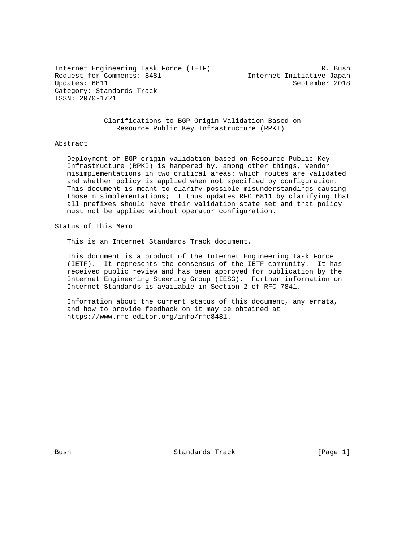Internet Engineering Task Force (IETF) R. Bush Request for Comments: 8481 Internet Initiative Japan<br>Updates: 6811 September 2018 Category: Standards Track ISSN: 2070-1721

September 2018

 Clarifications to BGP Origin Validation Based on Resource Public Key Infrastructure (RPKI)

#### Abstract

 Deployment of BGP origin validation based on Resource Public Key Infrastructure (RPKI) is hampered by, among other things, vendor misimplementations in two critical areas: which routes are validated and whether policy is applied when not specified by configuration. This document is meant to clarify possible misunderstandings causing those misimplementations; it thus updates RFC 6811 by clarifying that all prefixes should have their validation state set and that policy must not be applied without operator configuration.

Status of This Memo

This is an Internet Standards Track document.

 This document is a product of the Internet Engineering Task Force (IETF). It represents the consensus of the IETF community. It has received public review and has been approved for publication by the Internet Engineering Steering Group (IESG). Further information on Internet Standards is available in Section 2 of RFC 7841.

 Information about the current status of this document, any errata, and how to provide feedback on it may be obtained at https://www.rfc-editor.org/info/rfc8481.

Bush Standards Track [Page 1]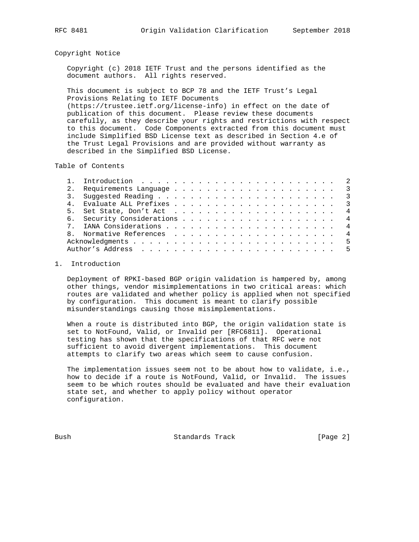### Copyright Notice

 Copyright (c) 2018 IETF Trust and the persons identified as the document authors. All rights reserved.

 This document is subject to BCP 78 and the IETF Trust's Legal Provisions Relating to IETF Documents (https://trustee.ietf.org/license-info) in effect on the date of publication of this document. Please review these documents carefully, as they describe your rights and restrictions with respect to this document. Code Components extracted from this document must include Simplified BSD License text as described in Section 4.e of the Trust Legal Provisions and are provided without warranty as described in the Simplified BSD License.

Table of Contents

| 5. |  |  |  |  |  |  |  |  |  |  | $\overline{4}$ |
|----|--|--|--|--|--|--|--|--|--|--|----------------|
|    |  |  |  |  |  |  |  |  |  |  | $\overline{4}$ |
|    |  |  |  |  |  |  |  |  |  |  | $\overline{4}$ |
|    |  |  |  |  |  |  |  |  |  |  | $\overline{4}$ |
|    |  |  |  |  |  |  |  |  |  |  |                |
|    |  |  |  |  |  |  |  |  |  |  | - 5            |
|    |  |  |  |  |  |  |  |  |  |  |                |

# 1. Introduction

 Deployment of RPKI-based BGP origin validation is hampered by, among other things, vendor misimplementations in two critical areas: which routes are validated and whether policy is applied when not specified by configuration. This document is meant to clarify possible misunderstandings causing those misimplementations.

 When a route is distributed into BGP, the origin validation state is set to NotFound, Valid, or Invalid per [RFC6811]. Operational testing has shown that the specifications of that RFC were not sufficient to avoid divergent implementations. This document attempts to clarify two areas which seem to cause confusion.

 The implementation issues seem not to be about how to validate, i.e., how to decide if a route is NotFound, Valid, or Invalid. The issues seem to be which routes should be evaluated and have their evaluation state set, and whether to apply policy without operator configuration.

Bush Standards Track [Page 2]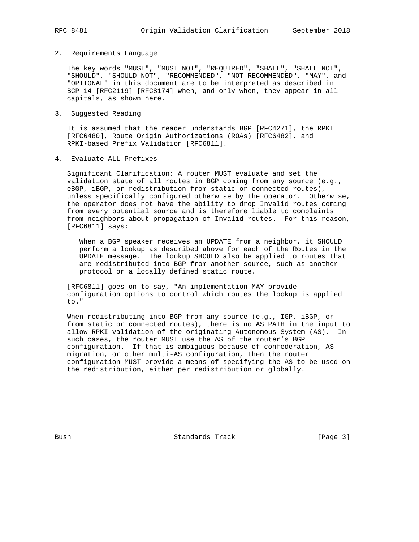#### 2. Requirements Language

 The key words "MUST", "MUST NOT", "REQUIRED", "SHALL", "SHALL NOT", "SHOULD", "SHOULD NOT", "RECOMMENDED", "NOT RECOMMENDED", "MAY", and "OPTIONAL" in this document are to be interpreted as described in BCP 14 [RFC2119] [RFC8174] when, and only when, they appear in all capitals, as shown here.

3. Suggested Reading

 It is assumed that the reader understands BGP [RFC4271], the RPKI [RFC6480], Route Origin Authorizations (ROAs) [RFC6482], and RPKI-based Prefix Validation [RFC6811].

4. Evaluate ALL Prefixes

 Significant Clarification: A router MUST evaluate and set the validation state of all routes in BGP coming from any source (e.g., eBGP, iBGP, or redistribution from static or connected routes), unless specifically configured otherwise by the operator. Otherwise, the operator does not have the ability to drop Invalid routes coming from every potential source and is therefore liable to complaints from neighbors about propagation of Invalid routes. For this reason, [RFC6811] says:

 When a BGP speaker receives an UPDATE from a neighbor, it SHOULD perform a lookup as described above for each of the Routes in the UPDATE message. The lookup SHOULD also be applied to routes that are redistributed into BGP from another source, such as another protocol or a locally defined static route.

 [RFC6811] goes on to say, "An implementation MAY provide configuration options to control which routes the lookup is applied to."

 When redistributing into BGP from any source (e.g., IGP, iBGP, or from static or connected routes), there is no AS\_PATH in the input to allow RPKI validation of the originating Autonomous System (AS). In such cases, the router MUST use the AS of the router's BGP configuration. If that is ambiguous because of confederation, AS migration, or other multi-AS configuration, then the router configuration MUST provide a means of specifying the AS to be used on the redistribution, either per redistribution or globally.

Bush Standards Track [Page 3]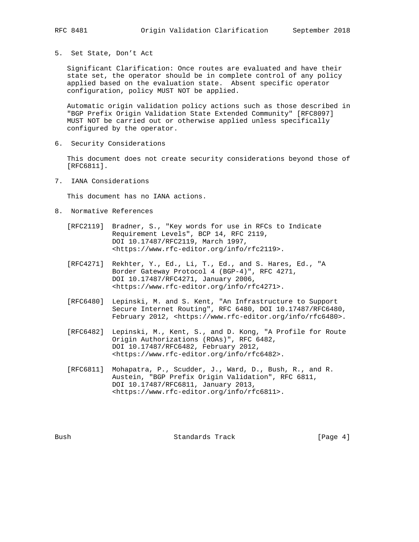5. Set State, Don't Act

 Significant Clarification: Once routes are evaluated and have their state set, the operator should be in complete control of any policy applied based on the evaluation state. Absent specific operator configuration, policy MUST NOT be applied.

 Automatic origin validation policy actions such as those described in "BGP Prefix Origin Validation State Extended Community" [RFC8097] MUST NOT be carried out or otherwise applied unless specifically configured by the operator.

6. Security Considerations

 This document does not create security considerations beyond those of [RFC6811].

7. IANA Considerations

This document has no IANA actions.

- 8. Normative References
	- [RFC2119] Bradner, S., "Key words for use in RFCs to Indicate Requirement Levels", BCP 14, RFC 2119, DOI 10.17487/RFC2119, March 1997, <https://www.rfc-editor.org/info/rfc2119>.
	- [RFC4271] Rekhter, Y., Ed., Li, T., Ed., and S. Hares, Ed., "A Border Gateway Protocol 4 (BGP-4)", RFC 4271, DOI 10.17487/RFC4271, January 2006, <https://www.rfc-editor.org/info/rfc4271>.
	- [RFC6480] Lepinski, M. and S. Kent, "An Infrastructure to Support Secure Internet Routing", RFC 6480, DOI 10.17487/RFC6480, February 2012, <https://www.rfc-editor.org/info/rfc6480>.
	- [RFC6482] Lepinski, M., Kent, S., and D. Kong, "A Profile for Route Origin Authorizations (ROAs)", RFC 6482, DOI 10.17487/RFC6482, February 2012, <https://www.rfc-editor.org/info/rfc6482>.
	- [RFC6811] Mohapatra, P., Scudder, J., Ward, D., Bush, R., and R. Austein, "BGP Prefix Origin Validation", RFC 6811, DOI 10.17487/RFC6811, January 2013, <https://www.rfc-editor.org/info/rfc6811>.

Bush Standards Track [Page 4]